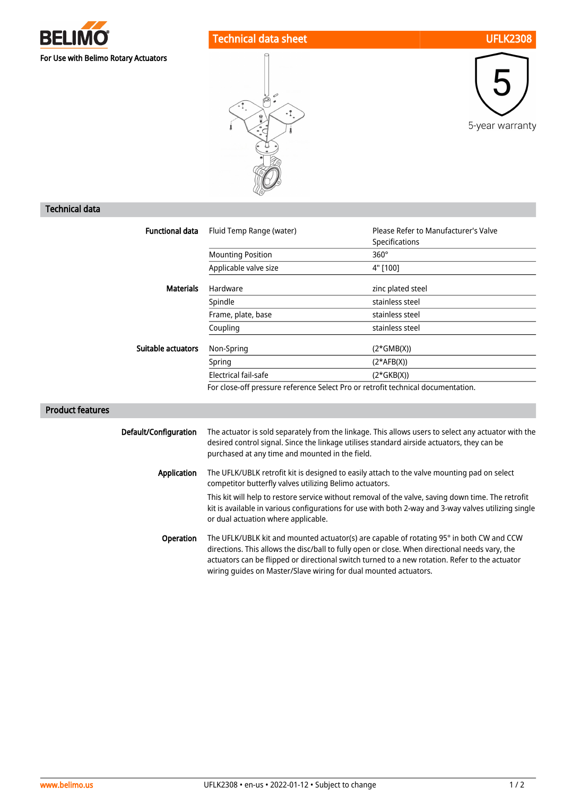

## Technical data sheet UFLK2308





## Technical data

| <b>Functional data</b> | Fluid Temp Range (water)    | Please Refer to Manufacturer's Valve |
|------------------------|-----------------------------|--------------------------------------|
|                        |                             | Specifications                       |
|                        | <b>Mounting Position</b>    | $360^\circ$                          |
|                        | Applicable valve size       | 4" [100]                             |
| <b>Materials</b>       | Hardware                    | zinc plated steel                    |
|                        | Spindle                     | stainless steel                      |
|                        | Frame, plate, base          | stainless steel                      |
|                        | Coupling                    | stainless steel                      |
| Suitable actuators     | Non-Spring                  | $(2*GMB(X))$                         |
|                        | Spring                      | $(2*AFB(X))$                         |
|                        | <b>Electrical fail-safe</b> | (2*GKB(X))                           |

## Product features

| Default/Configuration | The actuator is sold separately from the linkage. This allows users to select any actuator with the<br>desired control signal. Since the linkage utilises standard airside actuators, they can be<br>purchased at any time and mounted in the field.                                                                                                             |
|-----------------------|------------------------------------------------------------------------------------------------------------------------------------------------------------------------------------------------------------------------------------------------------------------------------------------------------------------------------------------------------------------|
| Application           | The UFLK/UBLK retrofit kit is designed to easily attach to the valve mounting pad on select<br>competitor butterfly valves utilizing Belimo actuators.                                                                                                                                                                                                           |
|                       | This kit will help to restore service without removal of the valve, saving down time. The retrofit<br>kit is available in various configurations for use with both 2-way and 3-way valves utilizing single<br>or dual actuation where applicable.                                                                                                                |
| <b>Operation</b>      | The UFLK/UBLK kit and mounted actuator(s) are capable of rotating 95° in both CW and CCW<br>directions. This allows the disc/ball to fully open or close. When directional needs vary, the<br>actuators can be flipped or directional switch turned to a new rotation. Refer to the actuator<br>wiring quides on Master/Slave wiring for dual mounted actuators. |